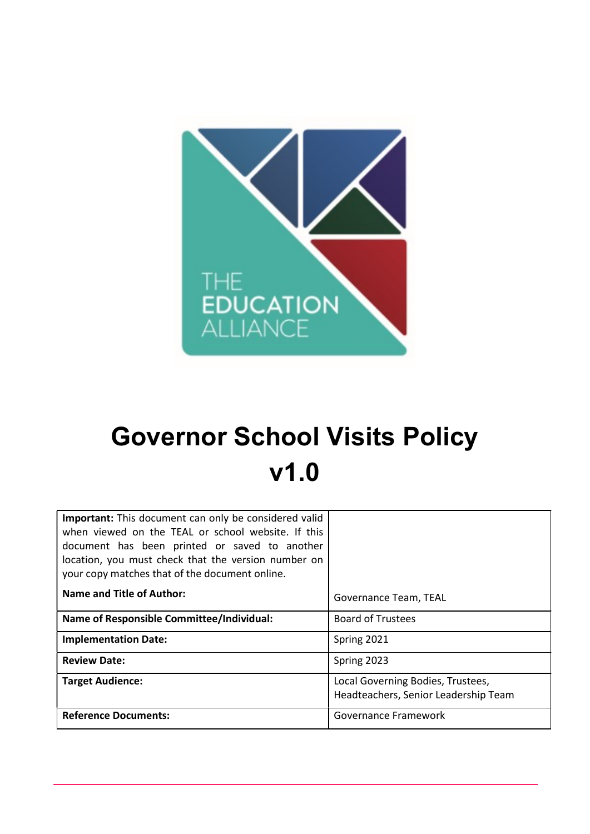

# Governor School Visits Policy v1.0

| <b>Important:</b> This document can only be considered valid<br>when viewed on the TEAL or school website. If this<br>document has been printed or saved to another<br>location, you must check that the version number on<br>your copy matches that of the document online. |                                                                           |  |  |
|------------------------------------------------------------------------------------------------------------------------------------------------------------------------------------------------------------------------------------------------------------------------------|---------------------------------------------------------------------------|--|--|
| <b>Name and Title of Author:</b>                                                                                                                                                                                                                                             | Governance Team, TEAL                                                     |  |  |
| <b>Name of Responsible Committee/Individual:</b>                                                                                                                                                                                                                             | <b>Board of Trustees</b>                                                  |  |  |
| <b>Implementation Date:</b>                                                                                                                                                                                                                                                  | Spring 2021                                                               |  |  |
| <b>Review Date:</b>                                                                                                                                                                                                                                                          | Spring 2023                                                               |  |  |
| <b>Target Audience:</b>                                                                                                                                                                                                                                                      | Local Governing Bodies, Trustees,<br>Headteachers, Senior Leadership Team |  |  |
| <b>Reference Documents:</b>                                                                                                                                                                                                                                                  | Governance Framework                                                      |  |  |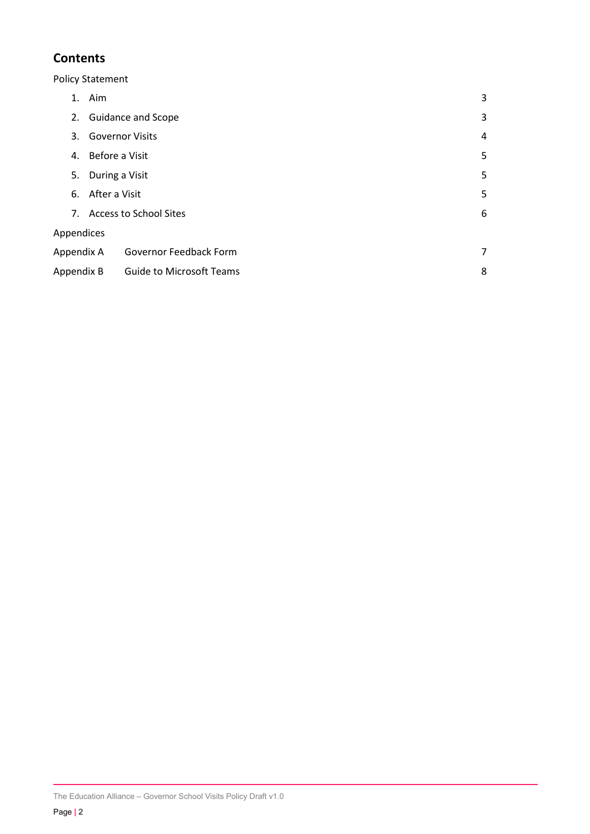## **Contents**

Policy Statement

|            | 1. Aim                          | 3 |  |  |
|------------|---------------------------------|---|--|--|
| 2.         | <b>Guidance and Scope</b>       | 3 |  |  |
| 3.         | <b>Governor Visits</b>          |   |  |  |
| 4.         | Before a Visit                  |   |  |  |
| 5.         | During a Visit                  |   |  |  |
| 6.         | After a Visit                   |   |  |  |
|            | 7. Access to School Sites       |   |  |  |
| Appendices |                                 |   |  |  |
| Appendix A | Governor Feedback Form          | 7 |  |  |
| Appendix B | <b>Guide to Microsoft Teams</b> | 8 |  |  |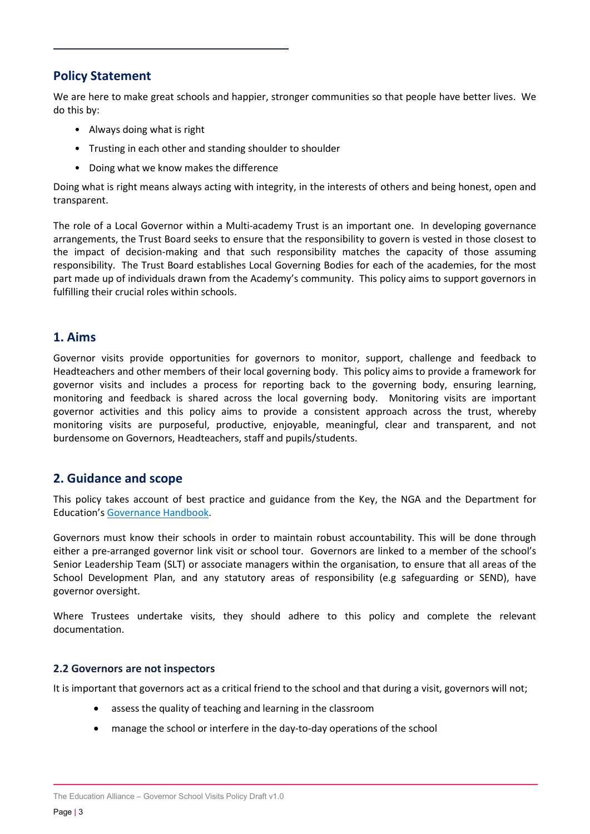## Policy Statement

We are here to make great schools and happier, stronger communities so that people have better lives. We do this by:

- Always doing what is right
- Trusting in each other and standing shoulder to shoulder
- Doing what we know makes the difference

Doing what is right means always acting with integrity, in the interests of others and being honest, open and transparent.

The role of a Local Governor within a Multi-academy Trust is an important one. In developing governance arrangements, the Trust Board seeks to ensure that the responsibility to govern is vested in those closest to the impact of decision-making and that such responsibility matches the capacity of those assuming responsibility. The Trust Board establishes Local Governing Bodies for each of the academies, for the most part made up of individuals drawn from the Academy's community. This policy aims to support governors in fulfilling their crucial roles within schools.

#### 1. Aims

Governor visits provide opportunities for governors to monitor, support, challenge and feedback to Headteachers and other members of their local governing body. This policy aims to provide a framework for governor visits and includes a process for reporting back to the governing body, ensuring learning, monitoring and feedback is shared across the local governing body. Monitoring visits are important governor activities and this policy aims to provide a consistent approach across the trust, whereby monitoring visits are purposeful, productive, enjoyable, meaningful, clear and transparent, and not burdensome on Governors, Headteachers, staff and pupils/students.

## 2. Guidance and scope

This policy takes account of best practice and guidance from the Key, the NGA and the Department for Education's Governance Handbook.

Governors must know their schools in order to maintain robust accountability. This will be done through either a pre-arranged governor link visit or school tour. Governors are linked to a member of the school's Senior Leadership Team (SLT) or associate managers within the organisation, to ensure that all areas of the School Development Plan, and any statutory areas of responsibility (e.g safeguarding or SEND), have governor oversight.

Where Trustees undertake visits, they should adhere to this policy and complete the relevant documentation.

#### 2.2 Governors are not inspectors

It is important that governors act as a critical friend to the school and that during a visit, governors will not;

- assess the quality of teaching and learning in the classroom
- manage the school or interfere in the day-to-day operations of the school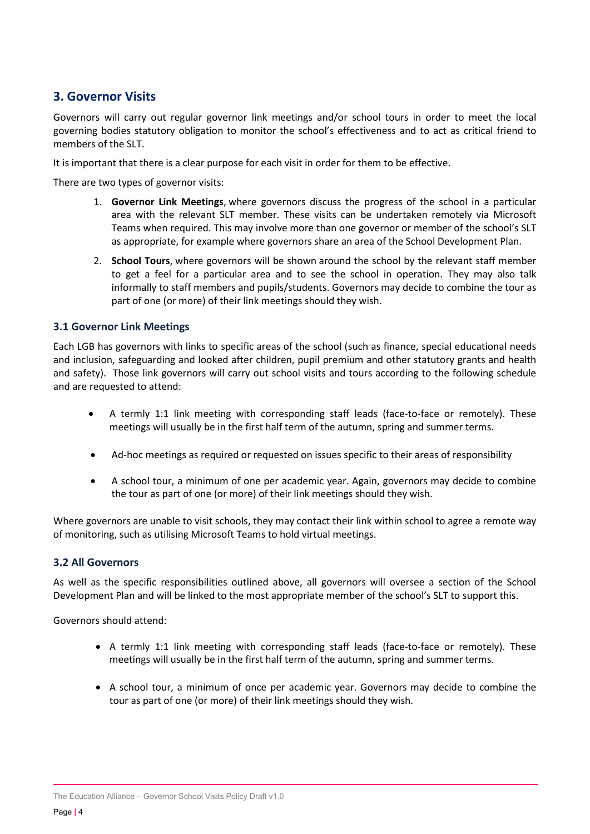## 3. Governor Visits

Governors will carry out regular governor link meetings and/or school tours in order to meet the local governing bodies statutory obligation to monitor the school's effectiveness and to act as critical friend to members of the SLT.

It is important that there is a clear purpose for each visit in order for them to be effective.

There are two types of governor visits:

- 1. Governor Link Meetings, where governors discuss the progress of the school in a particular area with the relevant SLT member. These visits can be undertaken remotely via Microsoft Teams when required. This may involve more than one governor or member of the school's SLT as appropriate, for example where governors share an area of the School Development Plan.
- 2. School Tours, where governors will be shown around the school by the relevant staff member to get a feel for a particular area and to see the school in operation. They may also talk informally to staff members and pupils/students. Governors may decide to combine the tour as part of one (or more) of their link meetings should they wish.

#### 3.1 Governor Link Meetings

Each LGB has governors with links to specific areas of the school (such as finance, special educational needs and inclusion, safeguarding and looked after children, pupil premium and other statutory grants and health and safety). Those link governors will carry out school visits and tours according to the following schedule and are requested to attend:

- A termly 1:1 link meeting with corresponding staff leads (face-to-face or remotely). These meetings will usually be in the first half term of the autumn, spring and summer terms.
- Ad-hoc meetings as required or requested on issues specific to their areas of responsibility
- A school tour, a minimum of one per academic year. Again, governors may decide to combine the tour as part of one (or more) of their link meetings should they wish.

Where governors are unable to visit schools, they may contact their link within school to agree a remote way of monitoring, such as utilising Microsoft Teams to hold virtual meetings.

#### 3.2 All Governors

As well as the specific responsibilities outlined above, all governors will oversee a section of the School Development Plan and will be linked to the most appropriate member of the school's SLT to support this.

Governors should attend:

- A termly 1:1 link meeting with corresponding staff leads (face-to-face or remotely). These meetings will usually be in the first half term of the autumn, spring and summer terms.
- A school tour, a minimum of once per academic year. Governors may decide to combine the tour as part of one (or more) of their link meetings should they wish.

The Education Alliance – Governor School Visits Policy Draft v1.0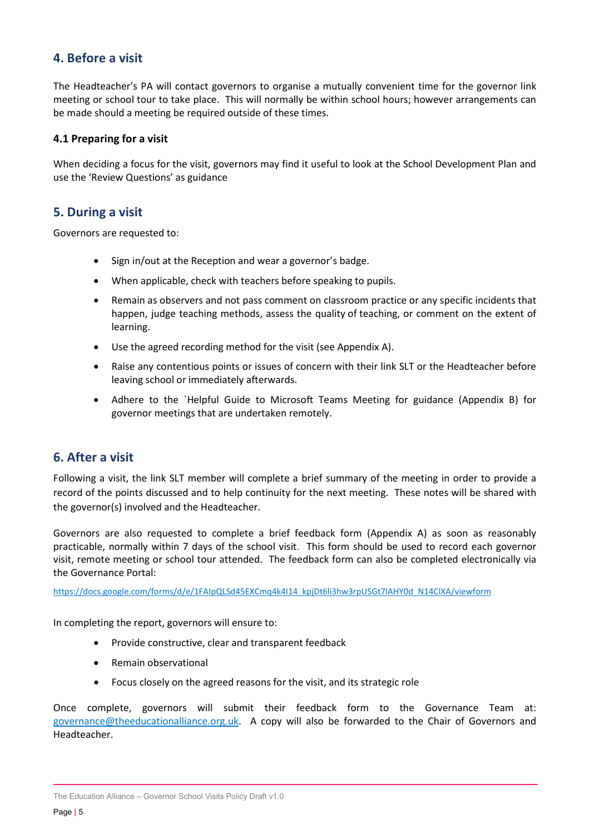## 4. Before a visit

The Headteacher's PA will contact governors to organise a mutually convenient time for the governor link meeting or school tour to take place. This will normally be within school hours; however arrangements can be made should a meeting be required outside of these times.

#### 4.1 Preparing for a visit

When deciding a focus for the visit, governors may find it useful to look at the School Development Plan and use the 'Review Questions' as guidance

#### 5. During a visit

Governors are requested to:

- Sign in/out at the Reception and wear a governor's badge.
- When applicable, check with teachers before speaking to pupils.
- Remain as observers and not pass comment on classroom practice or any specific incidents that happen, judge teaching methods, assess the quality of teaching, or comment on the extent of learning.
- Use the agreed recording method for the visit (see Appendix A).
- Raise any contentious points or issues of concern with their link SLT or the Headteacher before leaving school or immediately afterwards.
- Adhere to the `Helpful Guide to Microsoft Teams Meeting for guidance (Appendix B) for governor meetings that are undertaken remotely.

#### 6. After a visit

Following a visit, the link SLT member will complete a brief summary of the meeting in order to provide a record of the points discussed and to help continuity for the next meeting. These notes will be shared with the governor(s) involved and the Headteacher.

Governors are also requested to complete a brief feedback form (Appendix A) as soon as reasonably practicable, normally within 7 days of the school visit. This form should be used to record each governor visit, remote meeting or school tour attended. The feedback form can also be completed electronically via the Governance Portal:

https://docs.google.com/forms/d/e/1FAIpQLSd45EXCmq4k4I14\_kpjDt6li3hw3rpUSGt7lAHY0d\_N14ClXA/viewform

In completing the report, governors will ensure to:

- Provide constructive, clear and transparent feedback
- Remain observational
- Focus closely on the agreed reasons for the visit, and its strategic role

Once complete, governors will submit their feedback form to the Governance Team at: governance@theeducationalliance.org.uk. A copy will also be forwarded to the Chair of Governors and Headteacher.

The Education Alliance – Governor School Visits Policy Draft v1.0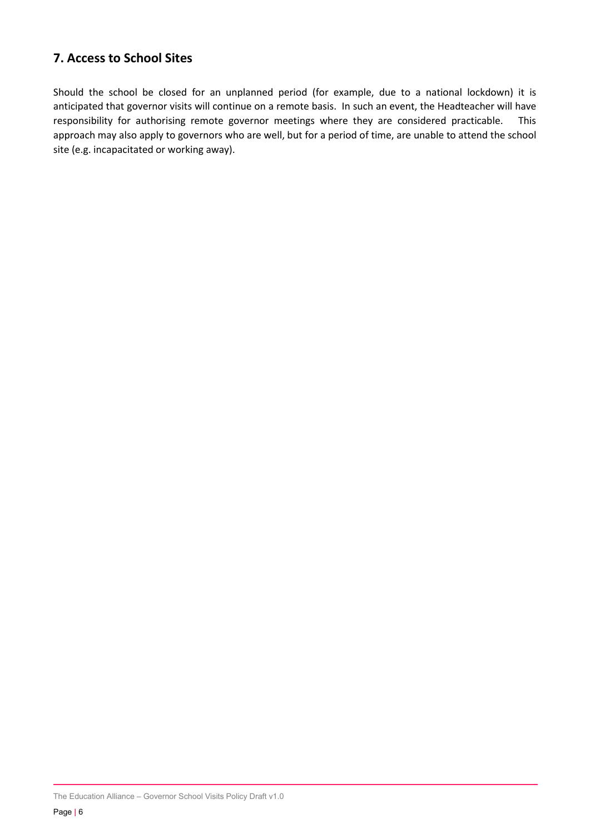## 7. Access to School Sites

Should the school be closed for an unplanned period (for example, due to a national lockdown) it is anticipated that governor visits will continue on a remote basis. In such an event, the Headteacher will have responsibility for authorising remote governor meetings where they are considered practicable. This approach may also apply to governors who are well, but for a period of time, are unable to attend the school site (e.g. incapacitated or working away).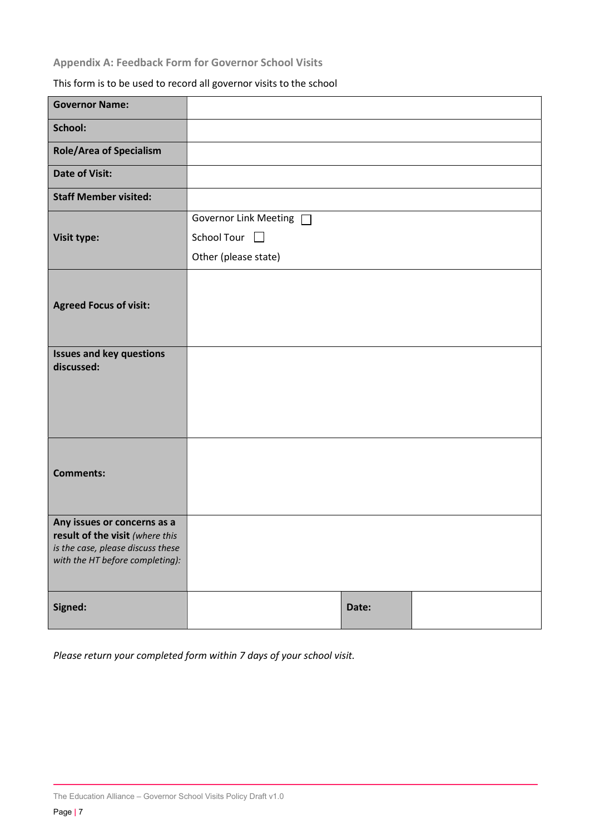## Appendix A: Feedback Form for Governor School Visits

## This form is to be used to record all governor visits to the school

| <b>Governor Name:</b>                                                |                            |       |  |
|----------------------------------------------------------------------|----------------------------|-------|--|
| School:                                                              |                            |       |  |
| <b>Role/Area of Specialism</b>                                       |                            |       |  |
| <b>Date of Visit:</b>                                                |                            |       |  |
| <b>Staff Member visited:</b>                                         |                            |       |  |
|                                                                      | Governor Link Meeting      |       |  |
| Visit type:                                                          | School Tour <sup>[1]</sup> |       |  |
|                                                                      | Other (please state)       |       |  |
|                                                                      |                            |       |  |
| <b>Agreed Focus of visit:</b>                                        |                            |       |  |
|                                                                      |                            |       |  |
| <b>Issues and key questions</b>                                      |                            |       |  |
| discussed:                                                           |                            |       |  |
|                                                                      |                            |       |  |
|                                                                      |                            |       |  |
|                                                                      |                            |       |  |
|                                                                      |                            |       |  |
| <b>Comments:</b>                                                     |                            |       |  |
|                                                                      |                            |       |  |
| Any issues or concerns as a                                          |                            |       |  |
| result of the visit (where this<br>is the case, please discuss these |                            |       |  |
| with the HT before completing):                                      |                            |       |  |
|                                                                      |                            |       |  |
| Signed:                                                              |                            | Date: |  |

Please return your completed form within 7 days of your school visit.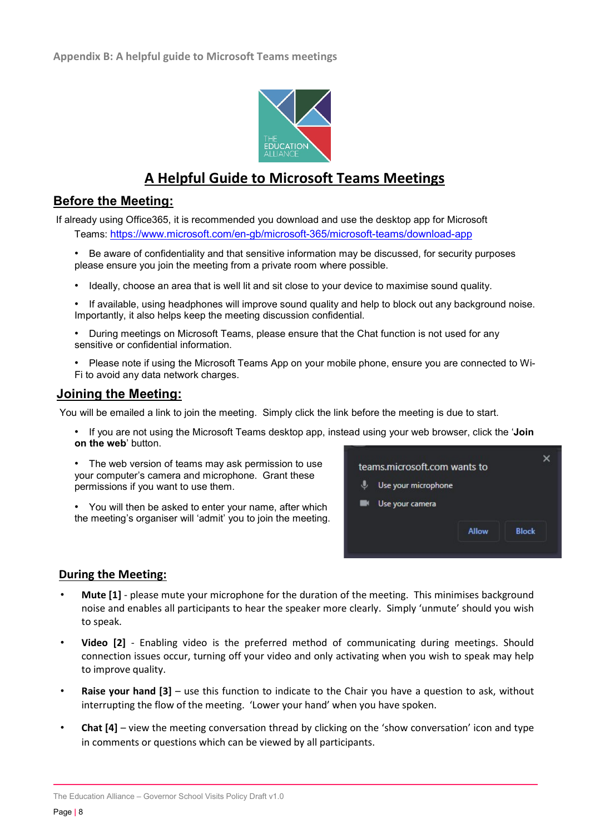

## A Helpful Guide to Microsoft Teams Meetings

## Before the Meeting:

 If already using Office365, it is recommended you download and use the desktop app for Microsoft Teams: https://www.microsoft.com/en-gb/microsoft-365/microsoft-teams/download-app

• Be aware of confidentiality and that sensitive information may be discussed, for security purposes please ensure you join the meeting from a private room where possible.

- Ideally, choose an area that is well lit and sit close to your device to maximise sound quality.
- If available, using headphones will improve sound quality and help to block out any background noise. Importantly, it also helps keep the meeting discussion confidential.
- During meetings on Microsoft Teams, please ensure that the Chat function is not used for any sensitive or confidential information.
- Please note if using the Microsoft Teams App on your mobile phone, ensure you are connected to Wi-Fi to avoid any data network charges.

### Joining the Meeting:

You will be emailed a link to join the meeting. Simply click the link before the meeting is due to start.

• If you are not using the Microsoft Teams desktop app, instead using your web browser, click the 'Join on the web' button.

• The web version of teams may ask permission to use your computer's camera and microphone. Grant these permissions if you want to use them.

• You will then be asked to enter your name, after which the meeting's organiser will 'admit' you to join the meeting.



#### During the Meeting:

- Mute [1] please mute your microphone for the duration of the meeting. This minimises background noise and enables all participants to hear the speaker more clearly. Simply 'unmute' should you wish to speak.
- Video [2] Enabling video is the preferred method of communicating during meetings. Should connection issues occur, turning off your video and only activating when you wish to speak may help to improve quality.
- **Raise your hand**  $[3]$  use this function to indicate to the Chair you have a question to ask, without interrupting the flow of the meeting. 'Lower your hand' when you have spoken.
- Chat [4] view the meeting conversation thread by clicking on the 'show conversation' icon and type in comments or questions which can be viewed by all participants.

The Education Alliance – Governor School Visits Policy Draft v1.0